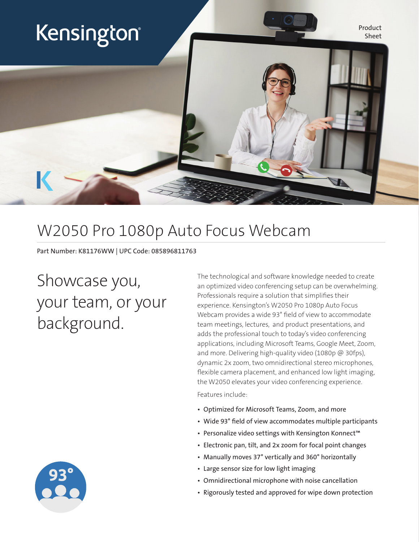

### W2050 Pro 1080p Auto Focus Webcam

Part Number: K81176WW | UPC Code: 085896811763

# Showcase you, your team, or your background.

The technological and software knowledge needed to create an optimized video conferencing setup can be overwhelming. Professionals require a solution that simplifies their experience. Kensington's W2050 Pro 1080p Auto Focus Webcam provides a wide 93° field of view to accommodate team meetings, lectures, and product presentations, and adds the professional touch to today's video conferencing applications, including Microsoft Teams, Google Meet, Zoom, and more. Delivering high-quality video (1080p @ 30fps), dynamic 2x zoom, two omnidirectional stereo microphones, flexible camera placement, and enhanced low light imaging, the W2050 elevates your video conferencing experience.

Features include:

- Optimized for Microsoft Teams, Zoom, and more
- Wide 93° field of view accommodates multiple participants
- Personalize video settings with Kensington Konnect™
- Electronic pan, tilt, and 2x zoom for focal point changes
- Manually moves 37° vertically and 360° horizontally
- Large sensor size for low light imaging
- Omnidirectional microphone with noise cancellation
- Rigorously tested and approved for wipe down protection

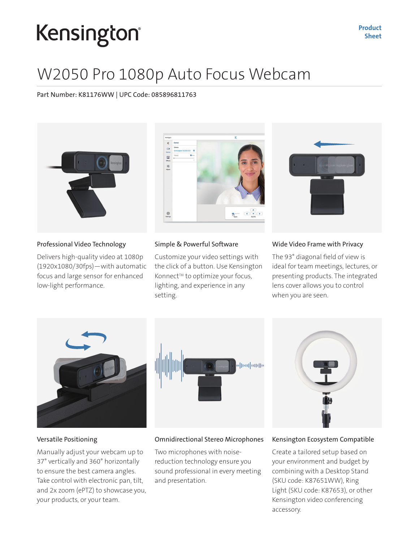# Kensington®

## W2050 Pro 1080p Auto Focus Webcam

Part Number: K81176WW | UPC Code: 085896811763



#### Professional Video Technology

Delivers high-quality video at 1080p (1920x1080/30fps)—with automatic focus and large sensor for enhanced low-light performance.

#### Simple & Powerful Software

Customize your video settings with the click of a button. Use Kensington Konnect<sup>™</sup> to optimize your focus, lighting, and experience in any setting.

#### Wide Video Frame with Privacy

The 93° diagonal field of view is ideal for team meetings, lectures, or presenting products. The integrated lens cover allows you to control when you are seen.







#### Versatile Positioning

Manually adjust your webcam up to 37° vertically and 360° horizontally to ensure the best camera angles. Take control with electronic pan, tilt, and 2x zoom (ePTZ) to showcase you, your products, or your team.

#### Omnidirectional Stereo Microphones

Two microphones with noisereduction technology ensure you sound professional in every meeting and presentation.

#### Kensington Ecosystem Compatible

Create a tailored setup based on your environment and budget by combining with a Desktop Stand (SKU code: K87651WW), Ring Light (SKU code: K87653), or other Kensington video conferencing accessory.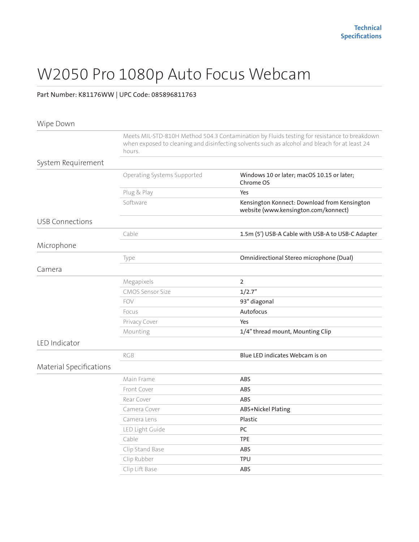## W2050 Pro 1080p Auto Focus Webcam

### Part Number: K81176WW | UPC Code: 085896811763

| Wipe Down               |                                                                                                                                                                                                        |                                                                                      |
|-------------------------|--------------------------------------------------------------------------------------------------------------------------------------------------------------------------------------------------------|--------------------------------------------------------------------------------------|
|                         | Meets MIL-STD-810H Method 504.3 Contamination by Fluids testing for resistance to breakdown<br>when exposed to cleaning and disinfecting solvents such as alcohol and bleach for at least 24<br>hours. |                                                                                      |
| System Requirement      |                                                                                                                                                                                                        |                                                                                      |
|                         | Operating Systems Supported                                                                                                                                                                            | Windows 10 or later; macOS 10.15 or later;<br>Chrome OS                              |
|                         | Plug & Play                                                                                                                                                                                            | Yes                                                                                  |
|                         | Software                                                                                                                                                                                               | Kensington Konnect: Download from Kensington<br>website (www.kensington.com/konnect) |
| USB Connections         |                                                                                                                                                                                                        |                                                                                      |
|                         | Cable                                                                                                                                                                                                  | 1.5m (5') USB-A Cable with USB-A to USB-C Adapter                                    |
| Microphone              |                                                                                                                                                                                                        |                                                                                      |
|                         | Type                                                                                                                                                                                                   | Omnidirectional Stereo microphone (Dual)                                             |
| Camera                  |                                                                                                                                                                                                        |                                                                                      |
|                         | Megapixels                                                                                                                                                                                             | $\overline{2}$                                                                       |
|                         | <b>CMOS Sensor Size</b>                                                                                                                                                                                | 1/2.7"                                                                               |
|                         | FOV                                                                                                                                                                                                    | 93° diagonal                                                                         |
|                         | Focus                                                                                                                                                                                                  | Autofocus                                                                            |
|                         | Privacy Cover                                                                                                                                                                                          | Yes                                                                                  |
|                         | Mounting                                                                                                                                                                                               | 1/4" thread mount, Mounting Clip                                                     |
| LED Indicator           |                                                                                                                                                                                                        |                                                                                      |
|                         | <b>RGB</b>                                                                                                                                                                                             | Blue LED indicates Webcam is on                                                      |
| Material Specifications |                                                                                                                                                                                                        |                                                                                      |
|                         | Main Frame                                                                                                                                                                                             | ABS                                                                                  |
|                         | Front Cover                                                                                                                                                                                            | <b>ABS</b>                                                                           |
|                         | Rear Cover                                                                                                                                                                                             | <b>ABS</b>                                                                           |
|                         | Camera Cover                                                                                                                                                                                           | ABS+Nickel Plating                                                                   |
|                         | Camera Lens                                                                                                                                                                                            | Plastic                                                                              |
|                         | LED Light Guide                                                                                                                                                                                        | PC                                                                                   |
|                         | Cable                                                                                                                                                                                                  | <b>TPE</b>                                                                           |
|                         | Clip Stand Base                                                                                                                                                                                        | ABS                                                                                  |
|                         | Clip Rubber                                                                                                                                                                                            | <b>TPU</b>                                                                           |
|                         | Clip Lift Base                                                                                                                                                                                         | <b>ABS</b>                                                                           |